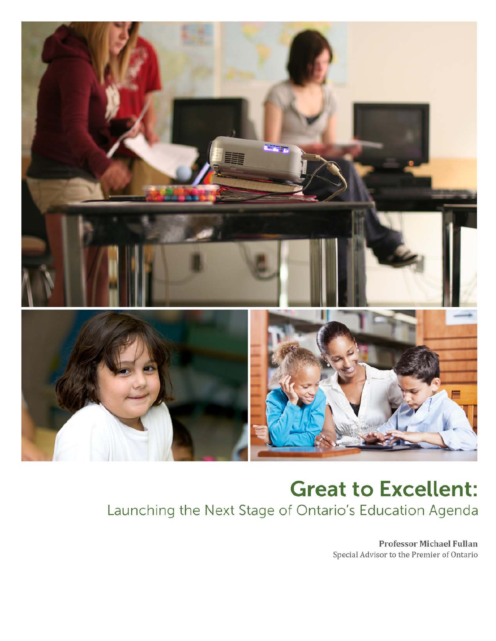

# **Great to Excellent:** Launching the Next Stage of Ontario's Education Agenda

Professor Michael Fullan Special Advisor to the Premier of Ontario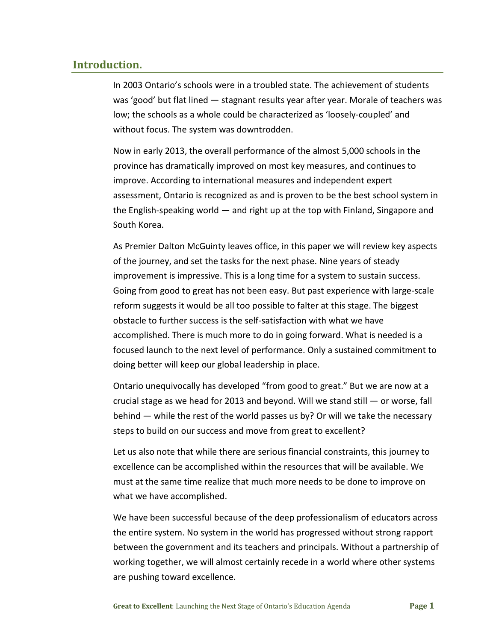## **Introduction.**

In 2003 Ontario's schools were in a troubled state. The achievement of students was 'good' but flat lined — stagnant results year after year. Morale of teachers was low; the schools as a whole could be characterized as 'loosely-coupled' and without focus. The system was downtrodden.

Now in early 2013, the overall performance of the almost 5,000 schools in the province has dramatically improved on most key measures, and continues to improve. According to international measures and independent expert assessment, Ontario is recognized as and is proven to be the best school system in the English-speaking world — and right up at the top with Finland, Singapore and South Korea.

As Premier Dalton McGuinty leaves office, in this paper we will review key aspects of the journey, and set the tasks for the next phase. Nine years of steady improvement is impressive. This is a long time for a system to sustain success. Going from good to great has not been easy. But past experience with large-scale reform suggests it would be all too possible to falter at this stage. The biggest obstacle to further success is the self-satisfaction with what we have accomplished. There is much more to do in going forward. What is needed is a focused launch to the next level of performance. Only a sustained commitment to doing better will keep our global leadership in place.

Ontario unequivocally has developed "from good to great." But we are now at a crucial stage as we head for 2013 and beyond. Will we stand still  $-$  or worse, fall behind — while the rest of the world passes us by? Or will we take the necessary steps to build on our success and move from great to excellent?

Let us also note that while there are serious financial constraints, this journey to excellence can be accomplished within the resources that will be available. We must at the same time realize that much more needs to be done to improve on what we have accomplished.

We have been successful because of the deep professionalism of educators across the entire system. No system in the world has progressed without strong rapport between the government and its teachers and principals. Without a partnership of working together, we will almost certainly recede in a world where other systems are pushing toward excellence.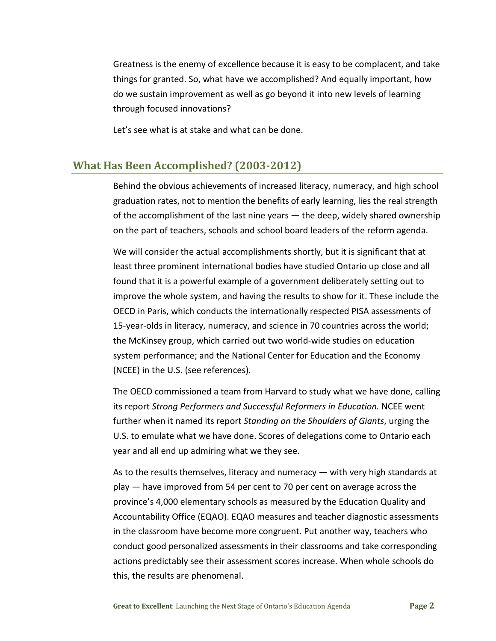Greatness is the enemy of excellence because it is easy to be complacent, and take things for granted. So, what have we accomplished? And equally important, how do we sustain improvement as well as go beyond it into new levels of learning through focused innovations?

Let's see what is at stake and what can be done.

# **What Has Been Accomplished? (2003-2012)**

Behind the obvious achievements of increased literacy, numeracy, and high school graduation rates, not to mention the benefits of early learning, lies the real strength of the accomplishment of the last nine years — the deep, widely shared ownership on the part of teachers, schools and school board leaders of the reform agenda.

We will consider the actual accomplishments shortly, but it is significant that at least three prominent international bodies have studied Ontario up close and all found that it is a powerful example of a government deliberately setting out to improve the whole system, and having the results to show for it. These include the OECD in Paris, which conducts the internationally respected PISA assessments of 15-year-olds in literacy, numeracy, and science in 70 countries across the world; the McKinsey group, which carried out two world-wide studies on education system performance; and the National Center for Education and the Economy (NCEE) in the U.S. (see references).

The OECD commissioned a team from Harvard to study what we have done, calling its report *Strong Performers and Successful Reformers in Education.* NCEE went further when it named its report *Standing on the Shoulders of Giants*, urging the U.S. to emulate what we have done. Scores of delegations come to Ontario each year and all end up admiring what we they see.

As to the results themselves, literacy and numeracy — with very high standards at play — have improved from 54 per cent to 70 per cent on average across the province's 4,000 elementary schools as measured by the Education Quality and Accountability Office (EQAO). EQAO measures and teacher diagnostic assessments in the classroom have become more congruent. Put another way, teachers who conduct good personalized assessments in their classrooms and take corresponding actions predictably see their assessment scores increase. When whole schools do this, the results are phenomenal.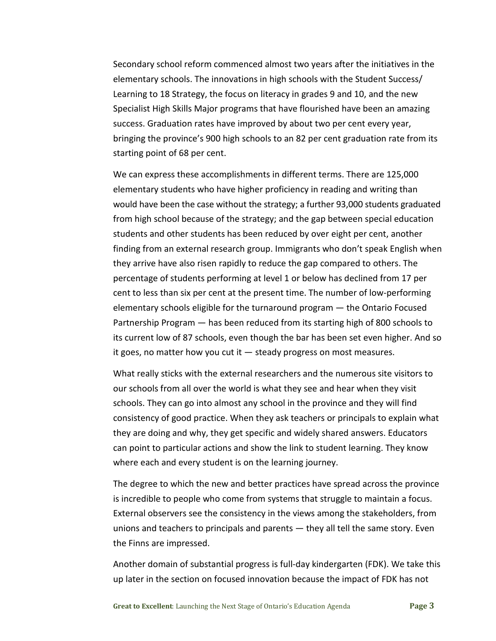Secondary school reform commenced almost two years after the initiatives in the elementary schools. The innovations in high schools with the Student Success/ Learning to 18 Strategy, the focus on literacy in grades 9 and 10, and the new Specialist High Skills Major programs that have flourished have been an amazing success. Graduation rates have improved by about two per cent every year, bringing the province's 900 high schools to an 82 per cent graduation rate from its starting point of 68 per cent.

We can express these accomplishments in different terms. There are 125,000 elementary students who have higher proficiency in reading and writing than would have been the case without the strategy; a further 93,000 students graduated from high school because of the strategy; and the gap between special education students and other students has been reduced by over eight per cent, another finding from an external research group. Immigrants who don't speak English when they arrive have also risen rapidly to reduce the gap compared to others. The percentage of students performing at level 1 or below has declined from 17 per cent to less than six per cent at the present time. The number of low-performing elementary schools eligible for the turnaround program — the Ontario Focused Partnership Program — has been reduced from its starting high of 800 schools to its current low of 87 schools, even though the bar has been set even higher. And so it goes, no matter how you cut it  $-$  steady progress on most measures.

What really sticks with the external researchers and the numerous site visitors to our schools from all over the world is what they see and hear when they visit schools. They can go into almost any school in the province and they will find consistency of good practice. When they ask teachers or principals to explain what they are doing and why, they get specific and widely shared answers. Educators can point to particular actions and show the link to student learning. They know where each and every student is on the learning journey.

The degree to which the new and better practices have spread across the province is incredible to people who come from systems that struggle to maintain a focus. External observers see the consistency in the views among the stakeholders, from unions and teachers to principals and parents — they all tell the same story. Even the Finns are impressed.

Another domain of substantial progress is full-day kindergarten (FDK). We take this up later in the section on focused innovation because the impact of FDK has not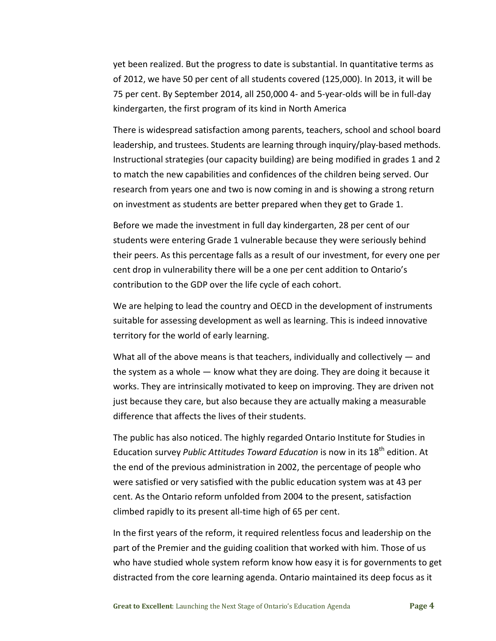yet been realized. But the progress to date is substantial. In quantitative terms as of 2012, we have 50 per cent of all students covered (125,000). In 2013, it will be 75 per cent. By September 2014, all 250,000 4- and 5-year-olds will be in full-day kindergarten, the first program of its kind in North America

There is widespread satisfaction among parents, teachers, school and school board leadership, and trustees. Students are learning through inquiry/play-based methods. Instructional strategies (our capacity building) are being modified in grades 1 and 2 to match the new capabilities and confidences of the children being served. Our research from years one and two is now coming in and is showing a strong return on investment as students are better prepared when they get to Grade 1.

Before we made the investment in full day kindergarten, 28 per cent of our students were entering Grade 1 vulnerable because they were seriously behind their peers. As this percentage falls as a result of our investment, for every one per cent drop in vulnerability there will be a one per cent addition to Ontario's contribution to the GDP over the life cycle of each cohort.

We are helping to lead the country and OECD in the development of instruments suitable for assessing development as well as learning. This is indeed innovative territory for the world of early learning.

What all of the above means is that teachers, individually and collectively  $-$  and the system as a whole — know what they are doing. They are doing it because it works. They are intrinsically motivated to keep on improving. They are driven not just because they care, but also because they are actually making a measurable difference that affects the lives of their students.

The public has also noticed. The highly regarded Ontario Institute for Studies in Education survey *Public Attitudes Toward Education* is now in its 18<sup>th</sup> edition. At the end of the previous administration in 2002, the percentage of people who were satisfied or very satisfied with the public education system was at 43 per cent. As the Ontario reform unfolded from 2004 to the present, satisfaction climbed rapidly to its present all-time high of 65 per cent.

In the first years of the reform, it required relentless focus and leadership on the part of the Premier and the guiding coalition that worked with him. Those of us who have studied whole system reform know how easy it is for governments to get distracted from the core learning agenda. Ontario maintained its deep focus as it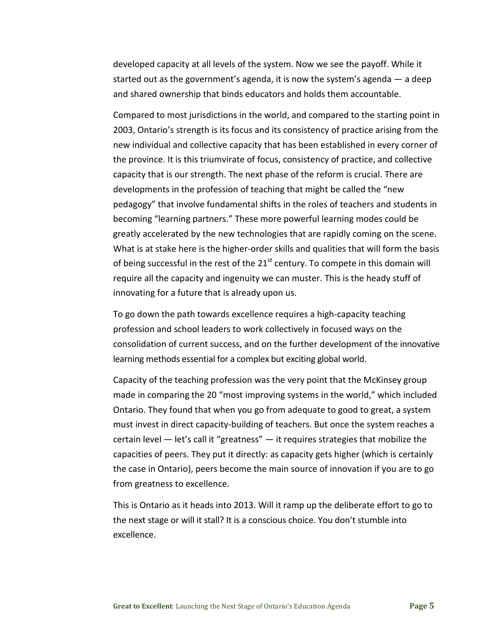developed capacity at all levels of the system. Now we see the payoff. While it started out as the government's agenda, it is now the system's agenda — a deep and shared ownership that binds educators and holds them accountable.

Compared to most jurisdictions in the world, and compared to the starting point in 2003, Ontario's strength is its focus and its consistency of practice arising from the new individual and collective capacity that has been established in every corner of the province. It is this triumvirate of focus, consistency of practice, and collective capacity that is our strength. The next phase of the reform is crucial. There are developments in the profession of teaching that might be called the "new pedagogy" that involve fundamental shifts in the roles of teachers and students in becoming "learning partners." These more powerful learning modes could be greatly accelerated by the new technologies that are rapidly coming on the scene. What is at stake here is the higher-order skills and qualities that will form the basis of being successful in the rest of the  $21<sup>st</sup>$  century. To compete in this domain will require all the capacity and ingenuity we can muster. This is the heady stuff of innovating for a future that is already upon us.

To go down the path towards excellence requires a high-capacity teaching profession and school leaders to work collectively in focused ways on the consolidation of current success, and on the further development of the innovative learning methods essential for a complex but exciting global world.

Capacity of the teaching profession was the very point that the McKinsey group made in comparing the 20 "most improving systems in the world," which included Ontario. They found that when you go from adequate to good to great, a system must invest in direct capacity-building of teachers. But once the system reaches a certain level — let's call it "greatness" — it requires strategies that mobilize the capacities of peers. They put it directly: as capacity gets higher (which is certainly the case in Ontario), peers become the main source of innovation if you are to go from greatness to excellence.

This is Ontario as it heads into 2013. Will it ramp up the deliberate effort to go to the next stage or will it stall? It is a conscious choice. You don't stumble into excellence.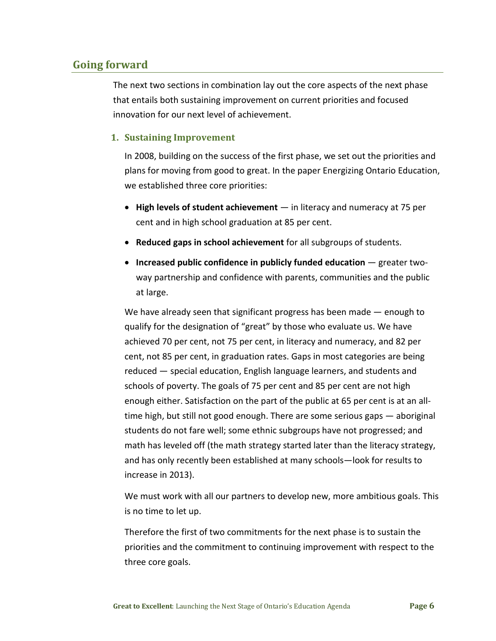# **Going forward**

The next two sections in combination lay out the core aspects of the next phase that entails both sustaining improvement on current priorities and focused innovation for our next level of achievement.

#### **1. Sustaining Improvement**

In 2008, building on the success of the first phase, we set out the priorities and plans for moving from good to great. In the paper Energizing Ontario Education, we established three core priorities:

- **High levels of student achievement** in literacy and numeracy at 75 per cent and in high school graduation at 85 per cent.
- **Reduced gaps in school achievement** for all subgroups of students.
- **Increased public confidence in publicly funded education** greater twoway partnership and confidence with parents, communities and the public at large.

We have already seen that significant progress has been made — enough to qualify for the designation of "great" by those who evaluate us. We have achieved 70 per cent, not 75 per cent, in literacy and numeracy, and 82 per cent, not 85 per cent, in graduation rates. Gaps in most categories are being reduced — special education, English language learners, and students and schools of poverty. The goals of 75 per cent and 85 per cent are not high enough either. Satisfaction on the part of the public at 65 per cent is at an alltime high, but still not good enough. There are some serious gaps — aboriginal students do not fare well; some ethnic subgroups have not progressed; and math has leveled off (the math strategy started later than the literacy strategy, and has only recently been established at many schools—look for results to increase in 2013).

We must work with all our partners to develop new, more ambitious goals. This is no time to let up.

Therefore the first of two commitments for the next phase is to sustain the priorities and the commitment to continuing improvement with respect to the three core goals.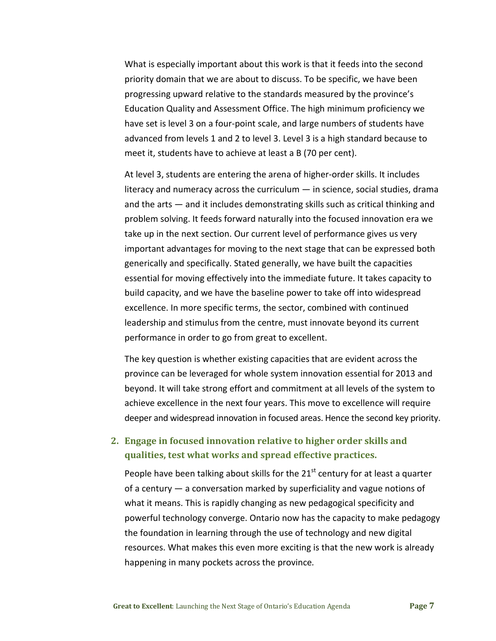What is especially important about this work is that it feeds into the second priority domain that we are about to discuss. To be specific, we have been progressing upward relative to the standards measured by the province's Education Quality and Assessment Office. The high minimum proficiency we have set is level 3 on a four-point scale, and large numbers of students have advanced from levels 1 and 2 to level 3. Level 3 is a high standard because to meet it, students have to achieve at least a B (70 per cent).

At level 3, students are entering the arena of higher-order skills. It includes literacy and numeracy across the curriculum  $-$  in science, social studies, drama and the arts — and it includes demonstrating skills such as critical thinking and problem solving. It feeds forward naturally into the focused innovation era we take up in the next section. Our current level of performance gives us very important advantages for moving to the next stage that can be expressed both generically and specifically. Stated generally, we have built the capacities essential for moving effectively into the immediate future. It takes capacity to build capacity, and we have the baseline power to take off into widespread excellence. In more specific terms, the sector, combined with continued leadership and stimulus from the centre, must innovate beyond its current performance in order to go from great to excellent.

The key question is whether existing capacities that are evident across the province can be leveraged for whole system innovation essential for 2013 and beyond. It will take strong effort and commitment at all levels of the system to achieve excellence in the next four years. This move to excellence will require deeper and widespread innovation in focused areas. Hence the second key priority.

# **2. Engage in focused innovation relative to higher order skills and qualities, test what works and spread effective practices.**

People have been talking about skills for the  $21<sup>st</sup>$  century for at least a quarter of a century — a conversation marked by superficiality and vague notions of what it means. This is rapidly changing as new pedagogical specificity and powerful technology converge. Ontario now has the capacity to make pedagogy the foundation in learning through the use of technology and new digital resources. What makes this even more exciting is that the new work is already happening in many pockets across the province*.*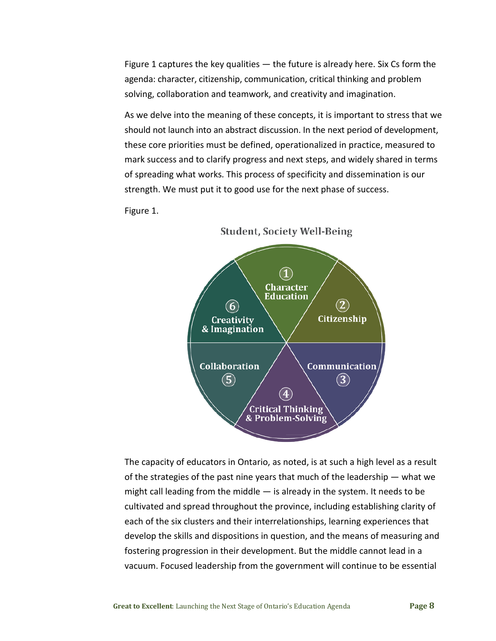Figure 1 captures the key qualities  $-$  the future is already here. Six Cs form the agenda: character, citizenship, communication, critical thinking and problem solving, collaboration and teamwork, and creativity and imagination.

As we delve into the meaning of these concepts, it is important to stress that we should not launch into an abstract discussion. In the next period of development, these core priorities must be defined, operationalized in practice, measured to mark success and to clarify progress and next steps, and widely shared in terms of spreading what works. This process of specificity and dissemination is our strength. We must put it to good use for the next phase of success.

Figure 1.



**Student, Society Well-Being** 

The capacity of educators in Ontario, as noted, is at such a high level as a result of the strategies of the past nine years that much of the leadership  $-$  what we might call leading from the middle — is already in the system. It needs to be cultivated and spread throughout the province, including establishing clarity of each of the six clusters and their interrelationships, learning experiences that develop the skills and dispositions in question, and the means of measuring and fostering progression in their development. But the middle cannot lead in a vacuum. Focused leadership from the government will continue to be essential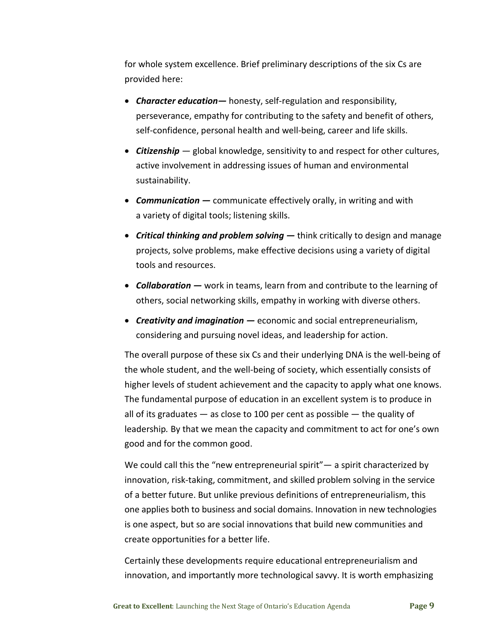for whole system excellence. Brief preliminary descriptions of the six Cs are provided here:

- *Character education—* honesty, self-regulation and responsibility, perseverance, empathy for contributing to the safety and benefit of others, self-confidence, personal health and well-being, career and life skills.
- *Citizenship —* global knowledge, sensitivity to and respect for other cultures, active involvement in addressing issues of human and environmental sustainability.
- *Communication —* communicate effectively orally, in writing and with a variety of digital tools; listening skills.
- *Critical thinking and problem solving —* think critically to design and manage projects, solve problems, make effective decisions using a variety of digital tools and resources.
- *Collaboration —* work in teams, learn from and contribute to the learning of others, social networking skills, empathy in working with diverse others.
- *Creativity and imagination —* economic and social entrepreneurialism, considering and pursuing novel ideas, and leadership for action.

The overall purpose of these six Cs and their underlying DNA is the well-being of the whole student, and the well-being of society, which essentially consists of higher levels of student achievement and the capacity to apply what one knows. The fundamental purpose of education in an excellent system is to produce in all of its graduates  $-$  as close to 100 per cent as possible  $-$  the quality of leadership*.* By that we mean the capacity and commitment to act for one's own good and for the common good.

We could call this the "new entrepreneurial spirit"— a spirit characterized by innovation, risk-taking, commitment, and skilled problem solving in the service of a better future. But unlike previous definitions of entrepreneurialism, this one applies both to business and social domains. Innovation in new technologies is one aspect, but so are social innovations that build new communities and create opportunities for a better life.

Certainly these developments require educational entrepreneurialism and innovation, and importantly more technological savvy. It is worth emphasizing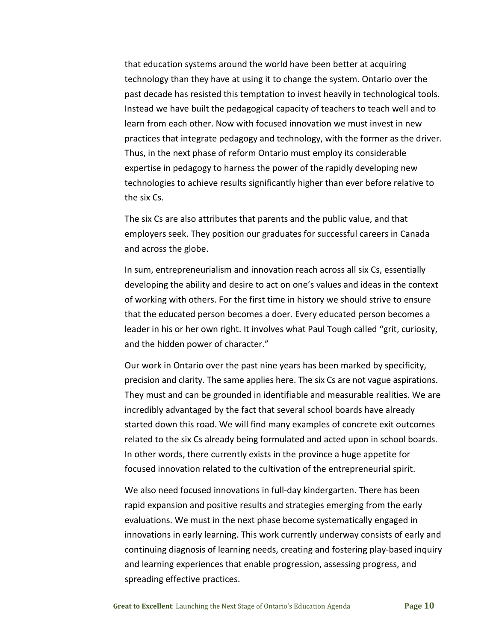that education systems around the world have been better at acquiring technology than they have at using it to change the system. Ontario over the past decade has resisted this temptation to invest heavily in technological tools. Instead we have built the pedagogical capacity of teachers to teach well and to learn from each other. Now with focused innovation we must invest in new practices that integrate pedagogy and technology, with the former as the driver. Thus, in the next phase of reform Ontario must employ its considerable expertise in pedagogy to harness the power of the rapidly developing new technologies to achieve results significantly higher than ever before relative to the six Cs.

The six Cs are also attributes that parents and the public value, and that employers seek. They position our graduates for successful careers in Canada and across the globe.

In sum, entrepreneurialism and innovation reach across all six Cs, essentially developing the ability and desire to act on one's values and ideas in the context of working with others. For the first time in history we should strive to ensure that the educated person becomes a doer*.* Every educated person becomes a leader in his or her own right. It involves what Paul Tough called "grit, curiosity, and the hidden power of character."

Our work in Ontario over the past nine years has been marked by specificity, precision and clarity. The same applies here. The six Cs are not vague aspirations. They must and can be grounded in identifiable and measurable realities. We are incredibly advantaged by the fact that several school boards have already started down this road. We will find many examples of concrete exit outcomes related to the six Cs already being formulated and acted upon in school boards. In other words, there currently exists in the province a huge appetite for focused innovation related to the cultivation of the entrepreneurial spirit.

We also need focused innovations in full-day kindergarten. There has been rapid expansion and positive results and strategies emerging from the early evaluations. We must in the next phase become systematically engaged in innovations in early learning. This work currently underway consists of early and continuing diagnosis of learning needs, creating and fostering play-based inquiry and learning experiences that enable progression, assessing progress, and spreading effective practices.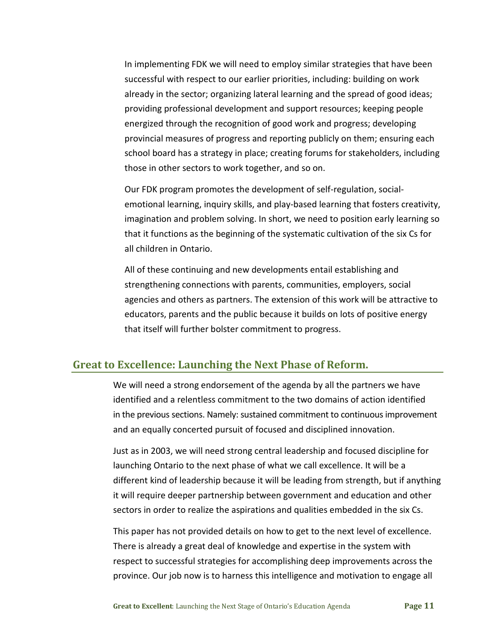In implementing FDK we will need to employ similar strategies that have been successful with respect to our earlier priorities, including: building on work already in the sector; organizing lateral learning and the spread of good ideas; providing professional development and support resources; keeping people energized through the recognition of good work and progress; developing provincial measures of progress and reporting publicly on them; ensuring each school board has a strategy in place; creating forums for stakeholders, including those in other sectors to work together, and so on.

Our FDK program promotes the development of self-regulation, socialemotional learning, inquiry skills, and play-based learning that fosters creativity, imagination and problem solving. In short, we need to position early learning so that it functions as the beginning of the systematic cultivation of the six Cs for all children in Ontario.

All of these continuing and new developments entail establishing and strengthening connections with parents, communities, employers, social agencies and others as partners. The extension of this work will be attractive to educators, parents and the public because it builds on lots of positive energy that itself will further bolster commitment to progress.

### **Great to Excellence: Launching the Next Phase of Reform.**

We will need a strong endorsement of the agenda by all the partners we have identified and a relentless commitment to the two domains of action identified in the previous sections. Namely: sustained commitment to continuous improvement and an equally concerted pursuit of focused and disciplined innovation.

Just as in 2003, we will need strong central leadership and focused discipline for launching Ontario to the next phase of what we call excellence. It will be a different kind of leadership because it will be leading from strength, but if anything it will require deeper partnership between government and education and other sectors in order to realize the aspirations and qualities embedded in the six Cs.

This paper has not provided details on how to get to the next level of excellence. There is already a great deal of knowledge and expertise in the system with respect to successful strategies for accomplishing deep improvements across the province. Our job now is to harness this intelligence and motivation to engage all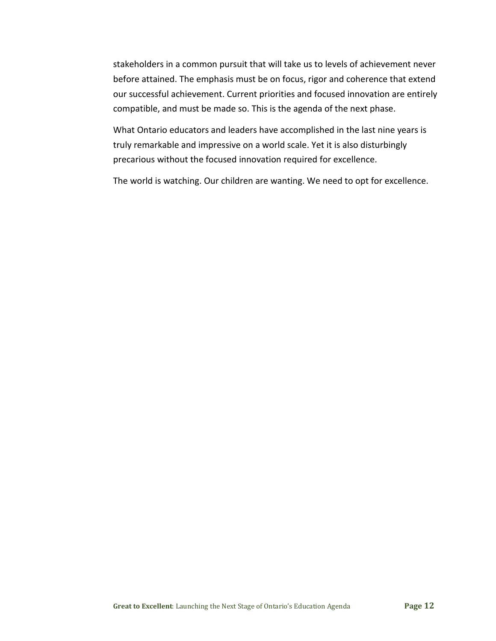stakeholders in a common pursuit that will take us to levels of achievement never before attained. The emphasis must be on focus, rigor and coherence that extend our successful achievement. Current priorities and focused innovation are entirely compatible, and must be made so. This is the agenda of the next phase.

What Ontario educators and leaders have accomplished in the last nine years is truly remarkable and impressive on a world scale. Yet it is also disturbingly precarious without the focused innovation required for excellence.

The world is watching. Our children are wanting. We need to opt for excellence.